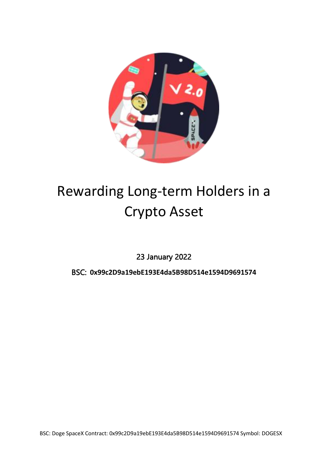

# Rewarding Long-term Holders in a Crypto Asset

23 January 2022

BSC: **0x99c2D9a19ebE193E4da5B98D514e1594D9691574**

BSC: Doge SpaceX Contract: 0x99c2D9a19ebE193E4da5B98D514e1594D9691574 Symbol: DOGESX